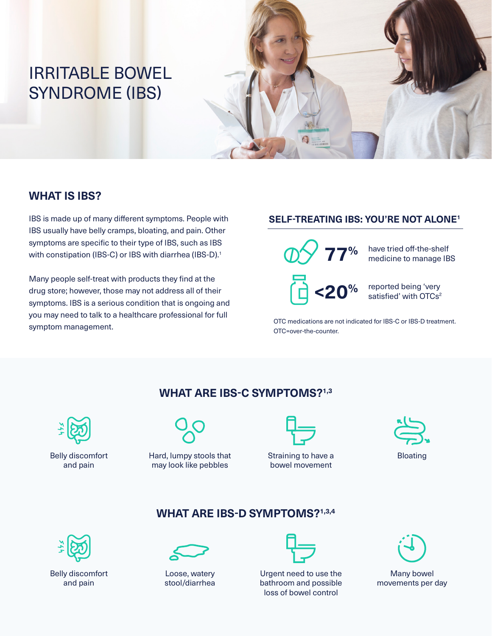# IRRITABLE BOWEL SYNDROME (IBS)



#### **WHAT IS IBS?**

IBS is made up of many different symptoms. People with **SELF-TREATING IBS: YOU'RE NOT ALONE**<sup>1</sup> IBS usually have belly cramps, bloating, and pain. Other symptoms are specific to their type of IBS, such as IBS with constipation (IBS-C) or IBS with diarrhea (IBS-D).<sup>1</sup>

Many people self-treat with products they find at the drug store; however, those may not address all of their symptoms. IBS is a serious condition that is ongoing and you may need to talk to a healthcare professional for full symptom management.

**77% <20%** have tried off-the-shelf medicine to manage IBS reported being 'very satisfied' with OTCs<sup>2</sup>

OTC medications are not indicated for IBS-C or IBS-D treatment. OTC=over-the-counter.

#### **WHAT ARE IBS-C SYMPTOMS?1,3**



Belly discomfort and pain



Hard, lumpy stools that may look like pebbles



Straining to have a bowel movement



## **WHAT ARE IBS-D SYMPTOMS?1,3,4**



Belly discomfort and pain



Loose, watery stool/diarrhea



Urgent need to use the bathroom and possible loss of bowel control



Many bowel movements per day